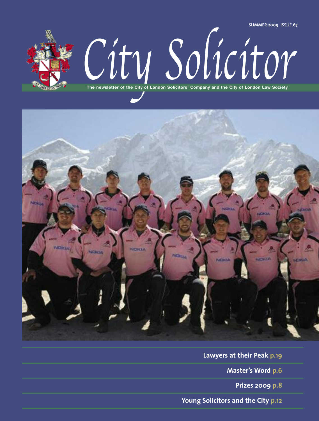**SUMMER 2009 ISSUE 67**



# *City Solicitor* **The newsletter of the City of London Solicitors' Company and the City of London Law Society**



**Lawyers at their Peak p.19 Master's Word p.6 Prizes 2009 p.8 Young Solicitors and the City p.12**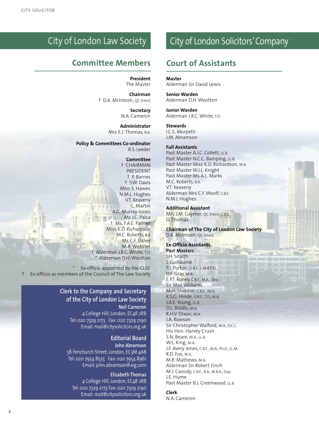# City of London Law Society

### **Committee Members Court of Assistants**

**President** The Master

**Chairman** † D.A. McIntosh, QC (Hon)

> **Secretary** N.A. Cameron

**Administrator** Mrs E.J. Thomas, B.A.

**Policy & Committees Co-ordinator** R.S. Leeder

### **Committee**

† CHAIRMAN PRESIDENT † P. Barnes † S.W. Davis Miss S. Hawes N.M.L. Hughes V.T. Keaveny C. Martin A.G. Murray-Jones Ms J.C. Palca † Ms. F.A.E. Palmer Miss K.D. Richardson M.C. Roberts, B.A Ms C.F. Usher M.A.Webster † Alderman J.R.C.White, T.D. \* Alderman D.H.Wootton

Ex-officio appointed by the CLSC Ex-officio as members of the Council of The Law Society

### **Clerk to the Company and Secretary of the City of London Law Society**

**Neil Cameron** 4 College Hill, London, EC4R 2RB Tel: 020 7329 2173 Fax: 020 7329 2190 Email: mail@citysolicitors.org.uk

> **Editorial Board John Abramson**

58 Fenchurch Street, London, EC3M 4AB Tel: 020 7954 8525 Fax: 020 7954 8961 Email: john.abramson@aig.com

**Elizabeth Thomas** 4 College Hill, London, EC4R 2RB Tel: 020 7329 2173 Fax: 020 7329 2190 Email: mail@citysolicitors.org.uk

# City of London Solicitors'Company

**Master**

Alderman Sir David Lewis

**Senior Warden** Alderman D.H.Wootton

**Junior Warden** Alderman J.R.C.White, T.D.

### **Stewards**

I.C.S. Morpeth J.M. Abramson

### **Full Assistants**

Past Master A.J.C. Collett, LL.B. Past Master N.C.C. Bamping, LL.B. Past Master Miss K.D. Richardson, M.A. Past Master W.J.L. Knight Past Master Ms A.L. Marks M.C. Roberts, B.A. V.T. Keaveny Alderman Mrs C.F.Woolf, C.B.E. N.M.L Hughes

### **Additional Assistant**

Mrs J.M. Gaymer, QC (Hon), C.B.E. D. Thomas

**Chairman of The City of London Law Society** D.A. McIntosh, QC (Hon)

> **Hairlin Purificial Light Hunt Heat Heat** ellest Variet tiekt sies taal sa stated the country and their Sect

### **Ex-Officio Assistants**

**Past Masters** J.H. Snaith J. Guillaume P.J. Purton, O.B.E., L.M.R.T.P.I. D.F. Gray, M.A. E.P.T. Roney, C.B.E., M.A., Dep. Sir Max Williams M.H. Sheldon, C.B.E., M.A. K.S.G. Hinde, O.B.E., T.D., M.A. J.A.E. Young, LL.B. D.L. Biddle, M.A. R.H.V. Dixon, M.A. J.A. Rowson Sir Christopher Walford, M.A., D.C.L. His Hon. Harvey Crush S.N. Beare, M.A., LL.B. W.L. King, M.A. J.F. Avery Jones, C.B.E., M.A., Ph.D., LL.M. R.D. Fox, M.A. M.R. Mathews, M.A. Alderman Sir Robert Finch M.J. Cassidy, C.B.E., B.A., M.B.A., Dep. J.E. Hume Past Master B.J. Greenwood, LL.B.

### **Clerk**

N.A. Cameron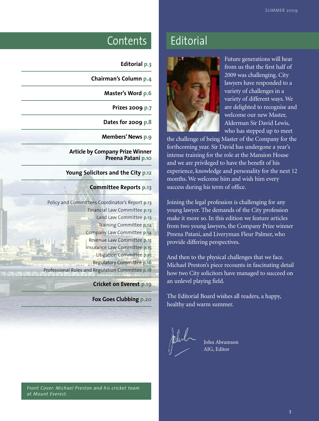# Contents Editorial

### **Editorial p.3**

**Chairman's Column p.4**

**Master's Word p.6**

**Prizes 2009 p.7**

**Dates for 2009 p.8**

**Members' News** p.9

**Article by Company Prize Winner Preena Patani p.10**

**Young Solicitors and the City p.12**

### **Committee Reports p.13**

Policy and Committees Coordinator's Report **p.13** Financial Law Committee **p.13** Land Law Committee **p.13** Training Committee **p.14** Company Law Committee **p.14** Revenue Law Committee **p.15** Insurance Law Committee **p.15** Litigation Committee **p.15** Regulatory Committee **p.16** Professional Rules and Regulation Committee **p.18**

**Cricket on Everest p.19**

**Fox Goes Clubbing p.20**

*Front Cover: Michael Preston and his cricket team at Mount Everest.*



Future generations will hear from us that the first half of 2009 was challenging. City lawyers have responded to a variety of challenges in a variety of different ways. We are delighted to recognise and welcome our new Master, Alderman Sir David Lewis, who has stepped up to meet

the challenge of being Master of the Company for the forthcoming year. Sir David has undergone a year's intense training for the role at the Mansion House and we are privileged to have the benefit of his experience, knowledge and personality for the next 12 months. We welcome him and wish him every success during his term of office.

Joining the legal profession is challenging for any young lawyer. The demands of the City profession make it more so. In this edition we feature articles from two young lawyers, the Company Prize winner Preena Patani, and Liveryman Fleur Palmer, who provide differing perspectives.

And then to the physical challenges that we face. Michael Preston's piece recounts in fascinating detail how two City solicitors have managed to succeed on an unlevel playing field.

The Editorial Board wishes all readers, a happy, healthy and warm summer.

John Abramson AIG, Editor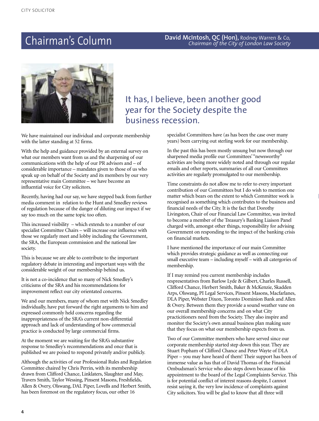

### It has, I believe, been another good year for the Society despite the business recession.

We have maintained our individual and corporate membership with the latter standing at 52 firms.

With the help and guidance provided by an external survey on what our members want from us and the sharpening of our communications with the help of our PR advisors and – of considerable importance – mandates given to those of us who speak up on behalf of the Society and its members by our very representative main Committee – we have become an influential voice for City solicitors.

Recently, having had our say, we have stepped back from further media comment in relation to the Hunt and Smedley reviews of regulation because of the danger of diluting our impact if we say too much on the same topic too often.

This increased visibility – which extends to a number of our specialist Committee Chairs – will increase our influence with those we regularly meet and lobby including the Government, the SRA, the European commission and the national law society.

This is because we are able to contribute to the important regulatory debate in interesting and important ways with the considerable weight of our membership behind us.

It is not a co-incidence that so many of Nick Smedley's criticisms of the SRA and his recommendations for improvement reflect our city orientated concerns.

We and our members, many of whom met with Nick Smedley individually, have put forward the right arguments to him and expressed commonly held concerns regarding the inappropriateness of the SRA's current non-differential approach and lack of understanding of how commercial practice is conducted by large commercial firms.

At the moment we are waiting for the SRA's substantive response to Smedley's recommendations and once that is published we are poised to respond privately and/or publicly.

Although the activities of our Professional Rules and Regulation Committee chaired by Chris Perrin, with its membership drawn from Clifford Chance, Linklaters, Slaughter and May, Travers Smith, Taylor Wessing, Pinsent Masons, Freshfields, Allen & Overy, Olswang, DAL Piper, Lovells and Herbert Smith, has been foremost on the regulatory focus, our other 16

specialist Committees have (as has been the case over many years) been carrying out sterling work for our membership.

In the past this has been mostly unsung but now through our sharpened media profile our Committees' "newsworthy" activities are being more widely noted and through our regular emails and other reports, summaries of all our Committees activities are regularly promulgated to our membership.

Time constraints do not allow me to refer to every important contribution of our Committees but I do wish to mention one matter which bears on the extent to which Committee work is recognised as something which contributes to the business and financial needs of the City. It is the fact that Dorothy Livingston, Chair of our Financial Law Committee, was invited to become a member of the Treasury's Banking Liaison Panel charged with, amongst other things, responsibility for advising Government on responding to the impact of the banking crisis on financial markets.

I have mentioned the importance of our main Committee which provides strategic guidance as well as connecting our small executive team – including myself – with all catergories of membership.

If I may remind you current membership includes respresentatives from Barlow Lyde & Gilbert, Charles Russell, Clifford Chance, Herbert Smith, Baker & McKenzie, Skadden Arps, Olswang, PI Legal Services, Pinsent Masons, Macfarlanes, DLA Piper, Webster Dixon, Toronto Dominion Bank and Allen & Overy. Between them they provide a sound weather vane on our overall membership concerns and on what City practicitioners need from the Society. They also inspire and monitor the Society's own annual business plan making sure that they focus on what our membership expects from us.

Two of our Committee members who have served since our corporate membership started step down this year. They are Stuart Popham of Clifford Chance and Peter Wayte of DLA Piper – you may have heard of them! Their support has been of immense value as has that of David Thomas of the Financial Ombudsman's Service who also steps down because of his appointment to the board of the Legal Complaints Service. This is for potential conflict of interest reasons despite, I cannot resist saying it, the very low incidence of complaints against City solicitors. You will be glad to know that all three will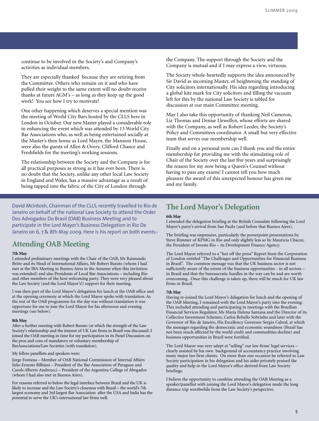continue to be involved in the Society's and Company's activities as individual members.

They are especially thanked because they are retiring from the Committee. Others who remain on it and who have pulled their weight to the same extent will no doubt receive thanks at future AGM's – as long as they keep up the good work! You see how I try to motivate!

One other happening which deserves a special mention was the meeting of World City Bars hosted by the CLLS here in London in October. Our new Master played a considerable role in enhancing the event which was attended by 13 World City Bar Associations who, as well as being entertained socially at the Master's then home as Lord Mayor, the Mansion House, were also the guests of Allen & Overy, Clifford Chance and Freshfields for the meeting's working sessions.

The relationship between the Society and the Company is for all practical purposes as strong as it has ever been. There is no doubt that the Society, unlike any other local Law Society in England and Wales, has a massive advantage as a result of being tapped into the fabric of the City of London through

the Company. The support through the Society and the Company is mutual and if I may express a view, virtuous.

The Society whole-heartedly supports the idea announced by Sir David as incoming Master, of heightening the standing of City solicitors internationally. His idea regarding introducing a global kite mark for City solicitors and filling the vacuum left for this by the national Law Society is tabled for discussion at our main Committee meeting.

May I also take this opportunity of thanking Neil Cameron, Liz Thomas and Denise Llewellyn, whose efforts are shared with the Company, as well as Robert Leeder, the Society's Policy and Committees coordinator. A small but very effective team that serves our membership well.

Finally and on a personal note can I thank you and the entire membership for providing me with the stimulating role of Chair of the Society over the last five years and surprisingly the reason for my now being a Queen's Counsel without having to pass any exams! I cannot tell you how much pleasure the award of this unexpected honour has given me and my family.

David McIntosh, Chairman of the CLLS, recently travelled to Rio de Janeiro on behalf of the national Law Society to attend the Order Dos Advogados Do Brasil (OAB) Business Meeting and to participate in the Lord Mayor's Business Delegation in Rio De Janeiro on 6, 7 & 8th May 2009. Here is his report on both events:-

### **Attending OAB Meeting**

### **7th May**

I attended preliminary meetings with the Chair of the OAB, Mr Raimundo Britte and its Head of International Affairs, Mr Robert Burato (whom I had met at the IBA Meeting in Buenos Aires in the Autumn when this invitation was extended) and also Presidents of Local Bar Associations – including Rio and other members of the host welcoming party. They were very pleased about the Law Society (and the Lord Mayor's!) support for their meeting.

I was then part of the Lord Mayor's delegation for lunch at the OAB office and at the opening ceremony at which the Lord Mayor spoke with translation. As the rest of the OAB programme for the day was without translation it was opportune for me to join the Lord Mayor for his afternoon and evening meetings (see below).

### **8th May**

After a further meeting with Robert Burato (at which the strength of the Law Society's relationship and the interest of UK Law firms in Brazil was discussed) I joined the OAB meeting in time for my participation in its Panel Discussion on the pros and cons of mandatory or voluntary membership of BarAssociations/Law Societies (with translation).

#### My fellow panellists and speakers were:

Jorge Fontana – Member of OAB National Commission of Internal Affairs Julio Ernesto Bilbiani – President of the Bar Association of Paraguay and Carols Alberto Andreucci – President of the Argentina College of Abogados (whom I had also met in Buenos Aires).

For reasons referred to below the legal interface between Brazil and the UK is likely to increase and the Law Society's closeness with Brazil – the world's 7th largest economy and 3rd largest Bar Association after the USA and India has the potential to serve the UK's international law firms well.

### **The Lord Mayor's Delegation**

#### **6th May**

I attended the delegation briefing at the British Consulate following the Lord Mayor's party's arrival from Sao Paulo (and before that Buenos Aires).

The briefing was impressive, particularly the powerpoint presentations by Steve Rimmer of KPMG in Rio and only slightly less so by Mauricio Chacur, the President of Investe Rio – its Development Finance Agency.

The Lord Mayor referred to a "hot off the press" Report from the Corporation of London entitled "The Challenges and Opportunities for Financial Business in Brazil". The common message was that the UK business sector is not sufficiently aware of the extent of the business opportunities - in all sectors – in Brazil and that the bureaucratic hurdles in the way can be and are worth overcoming. Once this challenge is taken up, there will be much for UK law firms in Brazil.

### **7th May**

Having re-joined the Lord Mayor's delegation for lunch and the opening of the OAB Meeting, I remained with the Lord Mayor's party into the evening. This included attending and participating in meetings with the Brazilian Financial Services Regulator, Ms Maria Helena Santana and the Director of its Collective Investment Schemes, Carlos Rebello Sobrinho and later with the Governor of Rio de Janeiro, His Excellency Governor Sergio Cabral, at which the messages regarding the democratic and economic soundness (Brazil has not been much affected by the world credit and commodities decline) and business opportunities in Brazil were fortified.

The Lord Mayor was very adept at "selling" our law firms' legal services – clearly assisted by his own background of accountancy practice involving many major law firm clients. On more than one occasion he referred to Law Society participation in his delegation and his aides privately praised the quality and help to the Lord Mayor's office derived from Law Society briefings.

I believe the opportunity to combine attending the OAB Meeting as a speaker/panellist with joining the Lord Mayor's delegation made the long distance trip worthwhile from the Law Society's perspective.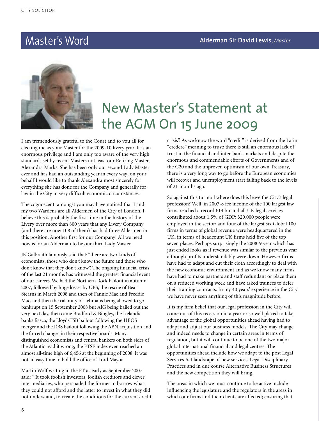

# New Master's Statement at the AGM On 15 June 2009

I am tremendously grateful to the Court and to you all for electing me as your Master for the 2009-10 livery year. It is an enormous privilege and I am only too aware of the very high standards set by recent Masters not least our Retiring Master, Alexandra Marks. She has been only our second Lady Master ever and has had an outstanding year in every way; on your behalf I would like to thank Alexandra most sincerely for everything she has done for the Company and generally for law in the City in very difficult economic circumstances.

The cognoscenti amongst you may have noticed that I and my two Wardens are all Aldermen of the City of London. I believe this is probably the first time in the history of the Livery over more than 800 years that any Livery Company (and there are now 108 of them) has had three Aldermen in this position. Another first for our Company! All we need now is for an Alderman to be our third Lady Master.

JK Galbraith famously said that: "there are two kinds of economists, those who don't know the future and those who don't know that they don't know". The ongoing financial crisis of the last 21 months has witnessed the greatest financial event of our careers. We had the Northern Rock bailout in autumn 2007, followed by huge losses by UBS, the rescue of Bear Stearns in March 2008 and then of Fannie Mae and Freddie Mac, and then the calamity of Lehmans being allowed to go bankrupt on 15 September 2008 but AIG being bailed out the very next day, then came Bradford & Bingley, the Icelandic banks fiasco, the LloydsTSB bailout following the HBOS merger and the RBS bailout following the ABN acquisition and the forced changes in their respective boards. Many distinguished economists and central bankers on both sides of the Atlantic read it wrong; the FTSE index even reached an almost all-time high of 6,456 at the beginning of 2008. It was not an easy time to hold the office of Lord Mayor.

Martin Wolf writing in the FT as early as September 2007 said: " It took foolish investors, foolish creditors and clever intermediaries, who persuaded the former to borrow what they could not afford and the latter to invest in what they did not understand, to create the conditions for the current credit crisis". As we know the word "credit" is derived from the Latin "credere" meaning to trust; there is still an enormous lack of trust in the financial and inter-bank markets and despite the enormous and commendable efforts of Governments and of the G20 and the unproven optimism of our own Treasury, there is a very long way to go before the European economies will recover and unemployment start falling back to the levels of 21 months ago.

So against this turmoil where does this leave the City's legal profession? Well, in 2007-8 fee income of the 100 largest law firms reached a record £14 bn and all UK legal services contributed about 1.5% of GDP; 320,000 people were employed in the sector; and four of the largest six Global 100 firms in terms of global revenue were headquartered in the UK; in terms of headcount UK firms held five of the top seven places. Perhaps surprisingly the 2008-9 year which has just ended looks as if revenue was similar to the previous year although profits understandably were down. However firms have had to adapt and cut their cloth accordingly to deal with the new economic environment and as we know many firms have had to make partners and staff redundant or place them on a reduced working week and have asked trainees to defer their training contracts. In my 40 years' experience in the City we have never seen anything of this magnitude before.

It is my firm belief that our legal profession in the City will come out of this recession in a year or so well placed to take advantage of the global opportunities ahead having had to adapt and adjust our business models. The City may change and indeed needs to change in certain areas in terms of regulation, but it will continue to be one of the two major global international financial and legal centres. The opportunities ahead include how we adapt to the post Legal Services Act landscape of new services, Legal Disciplinary Practices and in due course Alternative Business Structures and the new competition they will bring.

The areas in which we must continue to be active include influencing the legislature and the regulators in the areas in which our firms and their clients are affected; ensuring that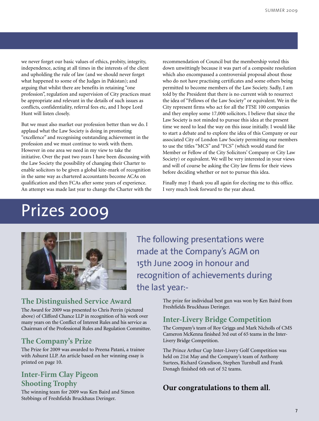we never forget our basic values of ethics, probity, integrity, independence, acting at all times in the interests of the client and upholding the rule of law (and we should never forget what happened to some of the Judges in Pakistan); and arguing that whilst there are benefits in retaining "one profession", regulation and supervision of City practices must be appropriate and relevant in the details of such issues as conflicts, confidentiality, referral fees etc, and I hope Lord Hunt will listen closely.

But we must also market our profession better than we do. I applaud what the Law Society is doing in promoting "excellence" and recognising outstanding achievement in the profession and we must continue to work with them. However in one area we need in my view to take the initiative. Over the past two years I have been discussing with the Law Society the possibility of changing their Charter to enable solicitors to be given a global kite-mark of recognition in the same way as chartered accountants become ACAs on qualification and then FCAs after some years of experience. An attempt was made last year to change the Charter with the recommendation of Council but the membership voted this down unwittingly because it was part of a composite resolution which also encompassed a controversial proposal about those who do not have practising certificates and some others being permitted to become members of the Law Society. Sadly, I am told by the President that there is no current wish to resurrect the idea of "Fellows of the Law Society" or equivalent. We in the City represent firms who act for all the FTSE 100 companies and they employ some 17,000 solicitors. I believe that since the Law Society is not minded to pursue this idea at the present time we need to lead the way on this issue initially. I would like to start a debate and to explore the idea of this Company or our associated City of London Law Society permitting our members to use the titles "MCS" and "FCS" (which would stand for Member or Fellow of the City Solicitors' Company or City Law Society) or equivalent. We will be very interested in your views and will of course be asking the City law firms for their views before deciding whether or not to pursue this idea.

Finally may I thank you all again for electing me to this office. I very much look forward to the year ahead.

# Prizes 2009



### **The Distinguished Service Award**

The Award for 2009 was presented to Chris Perrin (pictured above) of Clifford Chance LLP in recognition of his work over many years on the Conflict of Interest Rules and his service as Chairman of the Professional Rules and Regulation Committee.

### **The Company's Prize**

The Prize for 2009 was awarded to Preena Patani, a trainee with Ashurst LLP. An article based on her winning essay is printed on page 10.

### **Inter-Firm Clay Pigeon Shooting Trophy**

The winning team for 2009 was Ken Baird and Simon Stebbings of Freshfields Bruckhaus Deringer.

The following presentations were made at the Company's AGM on 15th June 2009 in honour and recognition of achievements during the last year:-

> The prize for individual best gun was won by Ken Baird from Freshfields Bruckhaus Deringer.

### **Inter-Livery Bridge Competition**

The Company's team of Roy Griggs and Mark Nicholls of CMS Cameron McKenna finished 3rd out of 65 teams in the Inter-Livery Bridge Competition.

The Prince Arthur Cup Inter-Livery Golf Competition was held on 21st May and the Company's team of Anthony Surtees, Richard Grandison, Stephen Turnbull and Frank Donagh finished 6th out of 52 teams.

### **Our congratulations to them all**.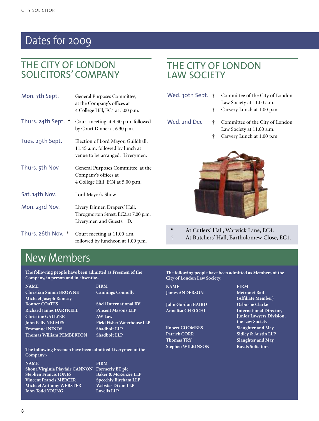# Dates for 2009

### THE CITY OF LONDON SOLICITORS' COMPANY

| Mon. 7th Sept.         | General Purposes Committee,<br>at the Company's offices at<br>4 College Hill, EC4 at 5.00 p.m.            |
|------------------------|-----------------------------------------------------------------------------------------------------------|
| Thurs. 24th Sept.<br>∗ | Court meeting at 4.30 p.m. followed<br>by Court Dinner at 6.30 p.m.                                       |
| Tues. 29th Sept.       | Election of Lord Mayor, Guildhall,<br>11.45 a.m. followed by lunch at<br>venue to be arranged. Liverymen. |
| Thurs. 5th Nov         | General Purposes Committee, at the<br>Company's offices at<br>4 College Hill, EC4 at 5.00 p.m.            |
| Sat. 14th Nov.         | Lord Mayor's Show                                                                                         |
| Mon. 23rd Nov.         | Livery Dinner, Drapers' Hall,<br>Throgmorton Street, EC2.at 7.00 p.m.<br>Liverymen and Guests. D.         |
| Thurs. 26th Nov.<br>∗  | Court meeting at 11.00 a.m.<br>followed by luncheon at 1.00 p.m.                                          |

# THE CITY OF LONDON LAW SOCIETY

- Wed. 30th Sept.  $\dagger$  Committee of the City of London Law Society at 11.00 a.m.
	- † Carvery Lunch at 1.00 p.m.
- 
- Wed. 2nd Dec  $\dagger$  Committee of the City of London Law Society at 11.00 a.m.
	- † Carvery Lunch at 1.00 p.m.



- \* At Cutlers' Hall, Warwick Lane, EC4.
- † At Butchers' Hall, Bartholomew Close, EC1.

# New Members

**The following people have been admitted as Freemen of the Company, in person and in absentia:-**

| <b>NAME</b>                    |
|--------------------------------|
| <b>Christian Simon BROWNE</b>  |
| <b>Michael Joseph Ramsay</b>   |
| <b>Bonner COATES</b>           |
| <b>Richard James DARTNELL</b>  |
| <b>Christine GALLYER</b>       |
| <b>John Pelly NELMES</b>       |
| <b>Emmanuel NINOS</b>          |
| <b>Thomas William PEMBERTO</b> |

**NAME FIRM Cannings Connolly**  $B$ **Shell International BV** 

 $P$ **insent Masons LLP Christine GALLYER AW Law John Pelly NELMES Field Fisher Waterhouse LLP Emmanuel NINOS Shadbolt LLP**  $\mathbf{Shadbolt}$  **LLP** 

**The following Freemen have been admitted Liverymen of the Company:-**

**NAME FIRM Shona Virginia Playfair CANNON Formerly BT plc Stephen Francis JONES Baker & McKenzie LLP Vincent Francis MERCER Speechly Bircham LLP Michael Anthony WEBSTER** Webster Dix<br> **John Todd YO<u>UNG</u> Lovells LLP**  $\overline{\text{John Todd YOUNG}}$ 

**The following people have been admitted as Members of the City of London Law Society:**

**NAME FIRM Iames ANDERSON Metronet Rail** 

**John Gordon BAIRD Osborne Clarke**

**Robert COOMBES Slaughter and May Patrick CORR Sidley & Austin LLP Thomas TRY Slaughter and May Stephen WILKINSON Royds Solicitors**

**(Affiliate Member) Annalisa CHECCHI International Director, Junior Lawyers Division, the Law Society**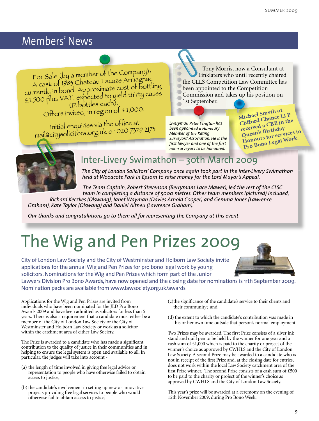# Members' News

For Sale (by <sup>a</sup> member of the Company): A cask of 1983 Chateau Lacaze Armagnac A cask of 1989 Chaleau Education<br>currently in bond. Approximate cost of bottling £1,500 <sup>p</sup>lus VAT, expected to <sup>y</sup>ield thirty cases (12 bottles each). Offers invited, in region of £1,000.

Initial enquiries via the office at mail@citysolicitors.org.uk or 020 7329 2173

Tony Morris, now a Consultant at Linklaters who until recently chaired the CLLS Competition Law Committee has been appointed to the Competition

- Commission and takes up his position on
	- 1st September.

*Liveryman Peter Scrafton has been appointed a Honorary Member of the Rating Surveyors' Association. He is the first lawyer and one of the first non-surveyors to be honoured.*

**Michael Smyth of Clifford Chance LLP received <sup>a</sup> CBE in the Queen's Birthday Honours for services to Pro Bono Legal Work.**



# Inter-Livery Swimathon – 30th March 2009

*The City of London Solicitors' Company once again took part in the Inter-Livery Swimathon held at Woodcote Park in Epsom to raise money for the Lord Mayor's Appeal.*

*The Team Captain, Robert Stevenson (Berrymans Lace Mawer), led the rest of the CLSC team in completing a distance of 5000 metres. Other team members (pictured) included, Richard Keczkes (Olswang), Janet Wayman (Davies Arnold Cooper) and Gemma Jones (Lawrence Graham), Kate Taylor (Olswang) and Daniel Altneu (Lawrence Graham).*

*Our thanks and congratulations go to them all for representing the Company at this event.*

# The Wig and Pen Prizes 2009

City of London Law Society and the City of Westminster and Holborn Law Society invite applications for the annual Wig and Pen Prizes for pro bono legal work by young solicitors. Nominations for the Wig and Pen Prizes which form part of the Junior

Lawyers Division Pro Bono Awards, have now opened and the closing date for nominations is 11th September 2009. Nomination packs are available from www.lawsociety.org.uk/awards

Applications for the Wig and Pen Prizes are invited from individuals who have been nominated for the JLD Pro Bono Awards 2009 and have been admitted as solicitors for less than 5 years. There is also a requirement that a candidate must either be a member of the City of London Law Society or the City of Westminster and Holborn Law Society or work as a solicitor within the catchment area of either Law Society.

The Prize is awarded to a candidate who has made a significant contribution to the quality of justice in their communities and in helping to ensure the legal system is open and available to all. In particular, the judges will take into account -

- (a) the length of time involved in giving free legal advice or representation to people who have otherwise failed to obtain access to justice;
- (b) the candidate's involvement in setting up new or innovative projects providing free legal services to people who would otherwise fail to obtain access to justice;
- (c)the significance of the candidate's service to their clients and their community; and
- (d) the extent to which the candidate's contribution was made in his or her own time outside that person's normal employment.

Two Prizes may be awarded. The first Prize consists of a silver ink stand and quill pen to be held by the winner for one year and a cash sum of £1,000 which is paid to the charity or project of the winner's choice as approved by CWHLS and the City of London Law Society. A second Prize may be awarded to a candidate who is not in receipt of the first Prize and, at the closing date for entries, does not work within the local Law Society catchment area of the first Prize winner. The second Prize consists of a cash sum of £500 to be paid to the charity or project of the winner's choice as approved by CWHLS and the City of London Law Society.

This year's prize will be awarded at a ceremony on the evening of 12th November 2009, during Pro Bono Week.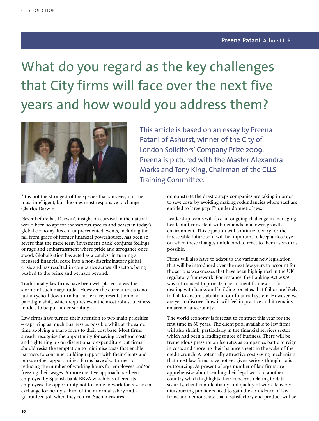# What do you regard as the key challenges that City firms will face over the next five years and how would you address them?



"It is not the strongest of the species that survives, nor the most intelligent, but the ones most responsive to change" – Charles Darwin.

Never before has Darwin's insight on survival in the natural world been so apt for the various species and beasts in today's global economy. Recent unprecedented events, including the fall from grace of former financial powerhouses, has been so severe that the mere term 'investment bank' conjures feelings of rage and embarrassment where pride and arrogance once stood. Globalisation has acted as a catalyst in turning a focussed financial scare into a non-discriminatory global crisis and has resulted in companies across all sectors being pushed to the brink and perhaps beyond.

Traditionally law firms have been well placed to weather storms of such magnitude. However the current crisis is not just a cyclical downturn but rather a representation of a paradigm shift, which requires even the most robust business models to be put under scrutiny.

Law firms have turned their attention to two main priorities – capturing as much business as possible while at the same time applying a sharp focus to their cost base. Most firms already recognise the opportunity for saving overhead costs and tightening up on discretionary expenditure but firms should resist the temptation to minimise costs that enable partners to continue building rapport with their clients and pursue other opportunities. Firms have also turned to reducing the number of working hours for employees and/or freezing their wages. A more creative approach has been employed by Spanish bank BBVA which has offered its employees the opportunity not to come to work for 5 years in exchange for nearly a third of their normal salary and a guaranteed job when they return. Such measures

This article is based on an essay by Preena Patani of Ashurst, winner of the City of London Solicitors' Company Prize 2009. Preena is pictured with the Master Alexandra Marks and Tony King, Chairman of the CLLS Training Committee.

> demonstrate the drastic steps companies are taking in order to save costs by avoiding making redundancies where staff are entitled to large payoffs under domestic laws.

> Leadership teams will face an ongoing challenge in managing headcount consistent with demands in a lower-growth environment. This equation will continue to vary for the foreseeable future so it will be important to keep a close eye on when these changes unfold and to react to them as soon as possible.

> Firms will also have to adapt to the various new legislation that will be introduced over the next few years to account for the serious weaknesses that have been highlighted in the UK regulatory framework. For instance, the Banking Act 2009 was introduced to provide a permanent framework for dealing with banks and building societies that fail or are likely to fail, to ensure stability in our financial system. However, we are yet to discover how it will feel in practice and it remains an area of uncertainty.

> The world economy is forecast to contract this year for the first time in 60 years. The client pool available to law firms will also shrink, particularly in the financial services sector which had been a leading source of business. There will be tremendous pressure on fee rates as companies battle to reign in costs and shore up their balance sheets in the wake of the credit crunch. A potentially attractive cost saving mechanism that most law firms have not yet given serious thought to is outsourcing. At present a large number of law firms are apprehensive about sending their legal work to another country which highlights their concerns relating to data security, client confidentiality and quality of work delivered. Outsourcing providers need to gain the confidence of law firms and demonstrate that a satisfactory end product will be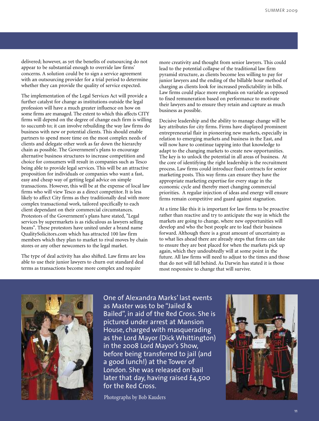delivered; however, as yet the benefits of outsourcing do not appear to be substantial enough to override law firms' concerns. A solution could be to sign a service agreement with an outsourcing provider for a trial period to determine whether they can provide the quality of service expected.

The implementation of the Legal Services Act will provide a further catalyst for change as institutions outside the legal profession will have a much greater influence on how on some firms are managed. The extent to which this affects CITY firms will depend on the degree of change each firm is willing to succumb to; it can involve rebuilding the way law firms do business with new or potential clients. This should enable partners to spend more time on the most complex needs of clients and delegate other work as far down the hierarchy chain as possible. The Government's plans to encourage alternative business structures to increase competition and choice for consumers will result in companies such as Tesco being able to provide legal services. This will be an attractive proposition for individuals or companies who want a fast, easy and cheap way of getting legal advice on simple transactions. However, this will be at the expense of local law firms who will view Tesco as a direct competitor. It is less likely to affect City firms as they traditionally deal with more complex transactional work, tailored specifically to each client dependant on their commercial circumstances. Protestors of the Government's plans have stated, "Legal services by supermarkets is as ridiculous as lawyers selling beans". These protestors have united under a brand name QualitySolicitors.com which has attracted 100 law firm members which they plan to market to rival moves by chain stores or any other newcomers to the legal market.

The type of deal activity has also shifted. Law firms are less able to use their junior lawyers to churn out standard deal terms as transactions become more complex and require

more creativity and thought from senior lawyers. This could lead to the potential collapse of the traditional law firm pyramid structure, as clients become less willing to pay for junior lawyers and the ending of the billable hour method of charging as clients look for increased predictability in bills. Law firms could place more emphasis on variable as opposed to fixed remuneration based on performance to motivate their lawyers and to ensure they retain and capture as much business as possible.

Decisive leadership and the ability to manage change will be key attributes for city firms. Firms have displayed prominent entrepreneurial flair in pioneering new markets, especially in relation to emerging markets and business in the East, and will now have to continue tapping into that knowledge to adapt to the changing markets to create new opportunities. The key is to unlock the potential in all areas of business. At the core of identifying the right leadership is the recruitment process. Law firms could introduce fixed contracts for senior marketing posts. This way firms can ensure they have the appropriate marketing expertise for every stage in the economic cycle and thereby meet changing commercial priorities. A regular injection of ideas and energy will ensure firms remain competitive and guard against stagnation.

At a time like this it is important for law firms to be proactive rather than reactive and try to anticipate the way in which the markets are going to change, where new opportunities will develop and who the best people are to lead their business forward. Although there is a great amount of uncertainty as to what lies ahead there are already steps that firms can take to ensure they are best placed for when the markets pick up again, which they undoubtedly will at some point in the future. All law firms will need to adjust to the times and those that do not will fall behind. As Darwin has stated it is those most responsive to change that will survive.



One of Alexandra Marks' last events as Master was to be "Jailed & Bailed", in aid of the Red Cross. She is pictured under arrest at Mansion House, charged with masquerading as the Lord Mayor (Dick Whittington) in the 2008 Lord Mayor's Show, before being transferred to jail (and a good lunch!) at the Tower of London. She was released on bail later that day, having raised £4,500 for the Red Cross.

Photographs by Bob Kauders

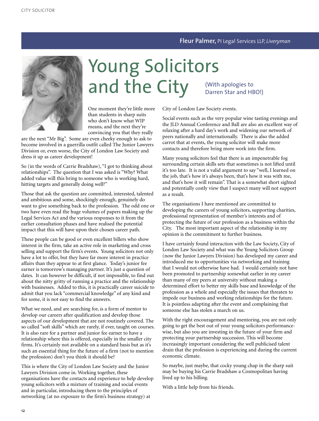

# Young Solicitors and the City (With apologies to Darren Star and HBO!)

One moment they're little more than students in sharp suits who don't know what WIP means, and the next they're convincing you that they really

are the next "Mr Big". Some are even cheeky enough to ask to become involved in a guerrilla outfit called The Junior Lawyers Division or, even worse, the City of London Law Society and dress it up as career development!

So (in the words of Carrie Bradshaw), "I got to thinking about relationships". The question that I was asked is "Why? What added value will this bring to someone who is working hard, hitting targets and generally doing well?"

Those that ask the question are committed, interested, talented and ambitious and some, shockingly enough, genuinely do want to give something back to the profession. The odd one or two have even read the huge volumes of papers making up the Legal Services Act and the various responses to it from the earlier consultation phases and have realised the potential impact that this will have upon their chosen career path.

These people can be good or even excellent billers who show interest in the firm, take an active role in marketing and cross selling and support the firm's events. Young solicitors not only have a lot to offer, but they have far more interest in practice affairs than they appear to at first glance. Today's junior fee earner is tomorrow's managing partner. It's just a question of dates. It can however be difficult, if not impossible, to find out about the nitty gritty of running a practice and the relationship with businesses. Added to this, it is practically career suicide to admit that you lack "commercial knowledge" of any kind and for some, it is not easy to find the answers.

What we need, and are searching for, is a form of mentor to develop our careers after qualification and develop those aspects of our development that are not routinely covered. The so called "soft skills" which are rarely, if ever, taught on courses. It is also rare for a partner and junior fee earner to have a relationship where this is offered, especially in the smaller city firms. It's certainly not available on a standard basis but as it's such an essential thing for the future of a firm (not to mention the profession) don't you think it should be?

This is where the City of London Law Society and the Junior Lawyers Division come in. Working together, these organisations have the contacts and experience to help develop young solicitors with a mixture of training and social events and in particular, introducing them to the principles of networking (at no exposure to the firm's business strategy) at

City of London Law Society events.

Social events such as the very popular wine tasting evenings and the JLD Annual Conference and Ball are also an excellent way of relaxing after a hard day's work and widening our network of peers nationally and internationally. There is also the added carrot that at events, the young solicitor will make more contacts and therefore bring more work into the firm.

Many young solicitors feel that there is an impenetrable fog surrounding certain skills sets that sometimes is not lifted until it's too late. It is not a valid argument to say "well, I learned on the job, that's how it's always been, that's how it was with me, and that's how it will remain". That is a somewhat short sighted and potentially costly view that I suspect many will not support as a result.

The organisations I have mentioned are committed to developing the careers of young solicitors, supporting charities, professional representation of member's interests and of protecting the future of our profession as a business within the City. The most important aspect of the relationship in my opinion is the commitment to further business.

I have certainly found interaction with the Law Society, City of London Law Society and what was the Young Solicitors Group (now the Junior Lawyers Division) has developed my career and introduced me to opportunities via networking and training that I would not otherwise have had. I would certainly not have been promoted to partnership somewhat earlier in my career than many of my peers at university without making a determined effort to better my skills base and knowledge of the profession as a whole and especially the issues that threaten to impede our business and working relationships for the future. It is pointless adapting after the event and complaining that someone else has stolen a march on us.

With the right encouragement and mentoring, you are not only going to get the best out of your young solicitors performancewise, but also you are investing in the future of your firm and protecting your partnership succession. This will become increasingly important considering the well publicised talent drain that the profession is experiencing and during the current economic climate.

So maybe, just maybe, that cocky young chap in the sharp suit may be buying his Carrie Bradshaw a Cosmopolitan having lived up to his billing.

With a little help from his friends.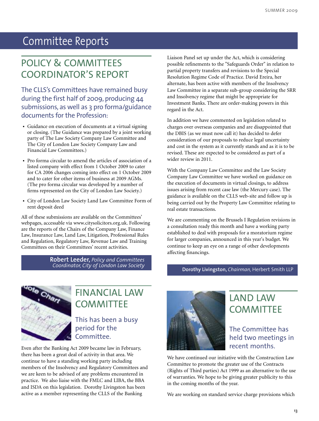# POLICY & COMMITTEES COORDINATOR'S REPORT

The CLLS's Committees have remained busy during the first half of 2009, producing 44 submissions, as well as 3 pro forma/guidance documents for the Profession:

- Guidance on execution of documents at <sup>a</sup> virtual signing or closing. (The Guidance was prepared by a joint working party of The Law Society Company Law Committee and The City of London Law Society Company Law and Financial Law Committees.)
- Pro forma circular to amend the articles of association of <sup>a</sup> listed company with effect from 1 October 2009 to cater for CA 2006 changes coming into effect on 1 October 2009 and to cater for other items of business at 2009 AGMs. (The pro forma circular was developed by a number of firms represented on the City of London Law Society.)
- City of London Law Society Land Law Committee Form of rent deposit deed

All of these submissions are available on the Committees' webpages, accessable via www.citysolicitors.org.uk. Following are the reports of the Chairs of the Company Law, Finance Law, Insurance Law, Land Law, Litigation, Professional Rules and Regulation, Regulatory Law, Revenue Law and Training Committees on their Committees' recent activities.

> **Robert Leeder,** *Policy and Committees Coordinator, City of London Law Society*

Liaison Panel set up under the Act, which is considering possible refinements to the "Safeguards Order" in relation to partial property transfers and revisions to the Special Resolution Regime Code of Practice. David Ereira, her alternate, has been active with members of the Insolvency Law Committee in a separate sub-group considering the SRR and Insolvency regime that might be appropriate for Investment Banks. There are order-making powers in this regard in the Act.

In addition we have commented on legislation related to charges over overseas companies and are disappointed that the DBIS (as we must now call it) has decided to defer consideration of our proposals to reduce legal uncertainty and cost in the system as it currently stands and as it is to be revised. These are expected to be considered as part of a wider review in 2011.

With the Company Law Committee and the Law Society Company Law Committee we have worked on guidance on the execution of documents in virtual closings, to address issues arising from recent case law (the Mercury case). The guidance is available on the CLLS web-site and follow up is being carried out by the Property Law Committee relating to real estate transactions.

We are commenting on the Brussels I Regulation revisions in a consultation ready this month and have a working party established to deal with proposals for a moratorium regime for larger companies, announced in this year's budget. We continue to keep an eye on a range of other developments affecting financings.

**Dorothy Livingston,** *Chairman,* Herbert Smith LLP



# FINANCIAL LAW COMMITTEE

This has been a busy period for the Committee.

Even after the Banking Act 2009 became law in February, there has been a great deal of activity in that area. We continue to have a standing working party including members of the Insolvency and Regulatory Committees and we are keen to be advised of any problems encountered in practice. We also liaise with the FMLC and LIBA, the BBA and ISDA on this legislation. Dorothy Livingston has been active as a member representing the CLLS of the Banking



# LAND LAW **COMMITTEE**

### The Committee has held two meetings in recent months.

We have continued our initiative with the Construction Law Committee to promote the greater use of the Contracts (Rights of Third parties) Act 1999 as an alternative to the use of warranties. We hope to be giving greater publicity to this in the coming months of the year.

We are working on standard service charge provisions which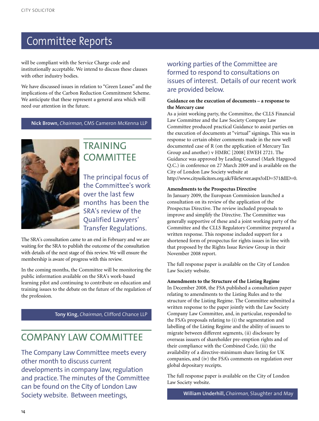will be compliant with the Service Charge code and institutionally acceptable. We intend to discuss these clauses with other industry bodies.

We have discussed issues in relation to "Green Leases" and the implications of the Carbon Reduction Commitment Scheme. We anticipate that these represent a general area which will need our attention in the future.

**Nick Brown,** *Chairman,* CMS Cameron McKenna LLP



# TRAINING **COMMITTEE**

The principal focus of the Committee's work over the last few months has been the SRA's review of the Qualified Lawyers' Transfer Regulations.

The SRA's consultation came to an end in February and we are waiting for the SRA to publish the outcome of the consultation with details of the next stage of this review. We will ensure the membership is aware of progress with this review.

In the coming months, the Committee will be monitoring the public information available on the SRA's work-based learning pilot and continuing to contribute on education and training issues to the debate on the future of the regulation of the profession.

**Tony King,** *Chairman,* Clifford Chance LLP

# COMPANY LAW COMMITTEE

The Company Law Committee meets every other month to discuss current developments in company law, regulation and practice.The minutes of the Committee can be found on the City of London Law Society website. Between meetings,

working parties of the Committee are formed to respond to consultations on issues of interest. Details of our recent work are provided below.

### **Guidance on the execution of documents – a response to the Mercury case**

As a joint working party, the Committee, the CLLS Financial Law Committee and the Law Society Company Law Committee produced practical Guidance to assist parties on the execution of documents at "virtual" signings. This was in response to certain obiter comments made in the now well documented case of R (on the application of Mercury Tax Group and another) v HMRC [2008] EWEH 2721. The Guidance was approved by Leading Counsel (Mark Hapgood Q.C.) in conference on 27 March 2009 and is available on the City of London Law Society website at http://www.citysolicitors.org.uk/FileServer.aspx?oID=571&lID=0.

### **Amendments to the Prospectus Directive**

In January 2009, the European Commission launched a consultation on its review of the application of the Prospectus Directive. The review included proposals to improve and simplify the Directive. The Committee was generally supportive of these and a joint working party of the Committee and the CLLS Regulatory Committee prepared a written response. This response included support for a shortened form of prospectus for rights issues in line with that proposed by the Rights Issue Review Group in their November 2008 report.

The full response paper is available on the City of London Law Society website.

### **Amendments to the Structure of the Listing Regime**

In December 2008, the FSA published a consultation paper relating to amendments to the Listing Rules and to the structure of the Listing Regime. The Committee submitted a written response to the paper jointly with the Law Society Company Law Committee, and, in particular, responded to the FSA's proposals relating to (i) the segmentation and labelling of the Listing Regime and the ability of issuers to migrate between different segments, (ii) disclosure by overseas issuers of shareholder pre-emption rights and of their compliance with the Combined Code, (iii) the availability of a directive-minimum share listing for UK companies, and (iv) the FSA's comments on regulation over global depositary receipts.

The full response paper is available on the City of London Law Society website.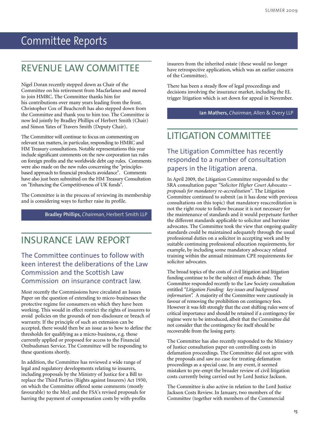# REVENUE LAW COMMITTEE

Nigel Doran recently stepped down as Chair of the Committee on his retirement from Macfarlanes and moved to join HMRC. The Committee thanks him for his contributions over many years leading from the front. Christopher Cox of Beachcroft has also stepped down from the Committee and thank you to him too. The Committee is now led jointly by Bradley Phillips of Herbert Smith (Chair) and Simon Yates of Travers Smith (Deputy Chair).

The Committee will continue to focus on commenting on relevant tax matters, in particular, responding to HMRC and HM Treasury consultations. Notable representations this year include significant comments on the new corporation tax rules on foreign profits and the worldwide debt cap rules. Comments were also made on the new rules concerning the "principlesbased approach to financial products avoidance". Comments have also just been submitted on the HM Treasury Consultation on "Enhancing the Competitiveness of UK funds".

The Committee is in the process of reviewing its membership and is considering ways to further raise its profile.

**Bradley Phillips,** *Chairman,* Herbert Smith LLP

### INSURANCE LAW REPORT

### The Committee continues to follow with keen interest the deliberations of the Law Commission and the Scottish Law Commission on insurance contract law.

Most recently the Commissions have circulated an Issues Paper on the question of extending to micro-businesses the protective regime for consumers on which they have been working. This would in effect restrict the rights of insurers to avoid policies on the grounds of non-disclosure or breach of warranty. If the principle of such an extension can be accepted, there would then be an issue as to how to define the thresholds for qualifying as a micro-business, e.g. those currently applied or proposed for access to the Financial Ombudsman Service. The Committee will be responding to these questions shortly.

In addition, the Committee has reviewed a wide range of legal and regulatory developments relating to insurers, including proposals by the Ministry of Justice for a Bill to replace the Third Parties (Rights against Insurers) Act 1930, on which the Committee offered some comments (mostly favourable) to the MoJ; and the FSA's revised proposals for barring the payment of compensation costs by with-profits

insurers from the inherited estate (these would no longer have retrospective application, which was an earlier concern of the Committee).

There has been a steady flow of legal proceedings and decisions involving the insurance market, including the EL trigger litigation which is set down for appeal in November.

### **Ian Mathers,** *Chairman,* Allen & Overy LLP

### LITIGATION COMMITTEE

### The Litigation Committee has recently responded to a number of consultation papers in the litigation arena.

In April 2009, the Litigation Committee responded to the SRA consultation paper *"Solicitor Higher Court Advocates – proposals for mandatory re-accreditation"*. The Litigation Committee continued to submit (as it has done with previous consultations on this topic) that mandatory reaccreditation is not the right route to follow because it is not necessary for the maintenance of standards and it would perpetuate further the different standards applicable to solicitor and barrister advocates. The Committee took the view that ongoing quality standards could be maintained adequately through the usual professional duties on a solicitor in accepting work and by suitable continuing professional education requirements, for example, by including some mandatory advocacy related training within the annual minimum CPE requirements for solicitor advocates.

The broad topics of the costs of civil litigation and litigation funding continue to be the subject of much debate. The Committee responded recently to the Law Society consultation entitled *"Litigation Funding: key issues and background information".* A majority of the Committee were cautiously in favour of removing the prohibition on contingency fees. However it was felt strongly that the cost shifting rules were of critical importance and should be retained if a contingency fee regime were to be introduced, albeit that the Committee did not consider that the contingency fee itself should be recoverable from the losing party.

The Committee has also recently responded to the Ministry of Justice consultation paper on controlling costs in defamation proceedings. The Committee did not agree with the proposals and saw no case for treating defamation proceedings as a special case. In any event, it seemed mistaken to pre-empt the broader review of civil litigation costs currently being carried out by Lord Justice Jackson.

The Committee is also active in relation to the Lord Justice Jackson Costs Review. In January, two members of the Committee (together with members of the Commercial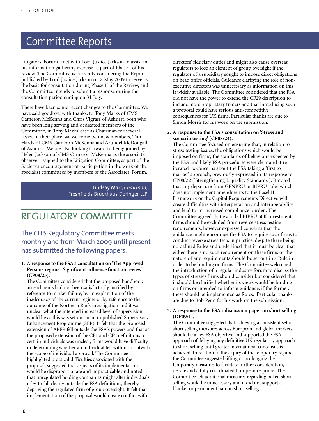Litigators' Forum) met with Lord Justice Jackson to assist in his information gathering exercise as part of Phase I of his review. The Committee is currently considering the Report published by Lord Justice Jackson on 8 May 2009 to serve as the basis for consultation during Phase II of the Review, and the Committee intends to submit a response during the consultation period ending on 31 July.

There have been some recent changes to the Committee. We have said goodbye, with thanks, to Tony Marks of CMS Cameron McKenna and Chris Vigrass of Ashurst, both who have been long serving and dedicated members of the Committee, in Tony Marks' case as Chairman for several years. In their place, we welcome two new members, Tim Hardy of CMS Cameron McKenna and Arundel McDougall of Ashurst. We are also looking forward to being joined by Helen Jackson of CMS Cameron McKenna as the associate observer assigned to the Litigation Committee, as part of the Society's encouragement of participation in the work of the specialist committees by members of the Associates' Forum.

> **Lindsay Marr,** *Chairman,* Freshfields Bruckhaus Deringer LLP

# REGULATORY COMMITTEE

### The CLLS Regulatory Committee meets monthly and from March 2009 until present has submitted the following papers.

### 1. **A response to the FSA's consultation on 'The Approved Persons regime: Significant influence function review' (CP08/25).**

The Committee considered that the proposed handbook amendments had not been satisfactorily justified by reference to market failure, by an explanation of the inadequacy of the current regime or by reference to the outcome of the Northern Rock investigation and it was unclear what the intended increased level of supervision would be as this was set out in an unpublished Supervisory Enhancement Programme (SEP). It felt that the proposed extension of APER fell outside the FSA's powers and that as the proposed extension of the CF1 and CF2 definitions to certain individuals was unclear, firms would have difficulty in determining whether an individual fell within or outwith the scope of individual approval. The Committee highlighted practical difficulties associated with the proposal, suggested that aspects of its implementation would be disproportionate and impracticable and noted that unregulated holding companies might alter individuals' roles to fall clearly outside the FSA definitions, thereby depriving the regulated firm of group oversight. It felt that implementation of the proposal would create conflict with

directors' fiduciary duties and might also cause overseas regulators to lose an element of group oversight if the regulator of a subsidiary sought to impose direct obligations on head office officials. Guidance clarifying the role of nonexecutive directors was unnecessary as information on this is widely available. The Committee considered that the FSA did not have the power to extend the CF29 description to include more proprietary traders and that introducing such a proposal could have serious anti-competitive consequences for UK firms. Particular thanks are due to Simon Morris for his work on the submission.

### **2. A response to the FSA's consultation on 'Stress and scenario testing' (CP08/24).**

The Committee focused on ensuring that, in relation to stress testing issues, the obligations which would be imposed on firms, the standards of behaviour expected by the FSA and likely FSA procedures were clear and it reiterated its concerns about the FSA taking a 'first to market' approach, previously expressed in its response to CP08/22 ('Strengthening Liquidity Standards'). It noted that any departure from GENPRU or BIPRU rules which does not implement amendments to the Basel II Framework or the Capital Requirements Directive will create difficulties with interpretation and interoperability and lead to an increased compliance burden. The Committee agreed that excluded BIPRU 50K investment firms should be excluded from reverse stress testing requirements, however expressed concerns that the guidance might encourage the FSA to require such firms to conduct reverse stress tests in practice, despite there being no defined Rules and underlined that it must be clear that either there is no such requirement on these firms or the nature of any requirements should be set out in a Rule in order to be binding on firms. The Committee welcomed the introduction of a regular industry forum to discuss the types of stresses firms should consider but considered that it should be clarified whether its views would be binding on firms or intended to inform guidance; if the former, these should be implemented as Rules. Particular thanks are due to Bob Penn for his work on the submission.

### **3. A response to the FSA's discussion paper on short selling (DP09/1).**

The Committee suggested that achieving a consistent set of short selling measures across European and global markets should be a key FSA objective and supported the FSA approach of delaying any definitive UK regulatory approach to short selling until greater international consensus is achieved. In relation to the expiry of the temporary regime, the Committee suggested lifting or prolonging the temporary measures to facilitate further consideration, debate and a fully coordinated European response. The Committee felt additional measures regarding naked short selling would be unnecessary and it did not support a blanket or permanent ban on short selling.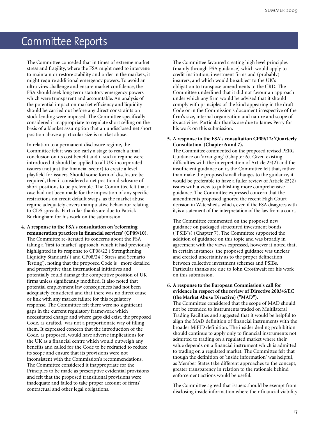The Committee conceded that in times of extreme market stress and fragility, where the FSA might need to intervene to maintain or restore stability and order in the markets, it might require additional emergency powers. To avoid an ultra vires challenge and ensure market confidence, the FSA should seek long term statutory emergency powers which were transparent and accountable. An analysis of the potential impact on market efficiency and liquidity should be carried out before any direct constraints on stock lending were imposed. The Committee specifically considered it inappropriate to regulate short selling on the basis of a blanket assumption that an undisclosed net short position above a particular size is market abuse.

In relation to a permanent disclosure regime, the Committee felt it was too early a stage to reach a final conclusion on its cost benefit and if such a regime were introduced it should be applied to all UK incorporated issuers (not just the financial sector) to create a level playfield for issuers. Should some form of disclosure be required, then it considered a net position disclosure of short positions to be preferable. The Committee felt that a case had not been made for the imposition of any specific restrictions on credit default swaps, as the market abuse regime adequately covers manipulative behaviour relating to CDS spreads. Particular thanks are due to Patrick Buckingham for his work on the submission.

**4. A response to the FSA's consultation on 'reforming remuneration practices in financial services' (CP09/10).** The Committee re-iterated its concerns about the FSA taking a 'first to market' approach, which it had previously highlighted in its response to CP08/22 ('Strengthening Liquidity Standards') and CP08/24 ('Stress and Scenario Testing'), noting that the proposed Code is more detailed and prescriptive than international initiatives and potentially could damage the competitive position of UK firms unless significantly modified. It also noted that potential employment law consequences had not been adequately considered and that there was no direct cause or link with any market failure for this regulatory response. The Committee felt there were no significant gaps in the current regulatory framework which necessitated change and where gaps did exist, the proposed Code, as drafted, was not a proportionate way of filling them. It expressed concern that the introduction of the Code, as proposed, would have adverse implications for the UK as a financial centre which would outweigh any benefits and called for the Code to be redrafted to reduce its scope and ensure that its provisions were not inconsistent with the Commission's recommendations. The Committee considered it inappropriate for the Principles to be made as prescriptive evidential provisions and felt that the proposed transitional provisions were inadequate and failed to take proper account of firms' contractual and other legal obligations.

The Committee favoured creating high level principles (mainly through FSA guidance) which would apply to credit institution, investment firms and (probably) insurers, and which would be subject to the UK's obligation to transpose amendments to the CRD. The Committee underlined that it did not favour an approach under which any firm would be advised that it should comply with principles of the kind appearing in the draft Code or in the Commission's document irrespective of the firm's size, internal organisation and nature and scope of its activities. Particular thanks are due to James Perry for his work on this submission.

### **5. A response to the FSA's consultation CP09/12: 'Quarterly Consultation' (Chapter 6 and 7).**

The Committee commented on the proposed revised PERG Guidance on 'arranging' (Chapter 6). Given existing difficulties with the interpretation of Article 25(2) and the insufficient guidance on it, the Committee felt that, rather than make the proposed small changes to the guidance, it would be preferable to have a fuller review of Article 25(2) issues with a view to publishing more comprehensive guidance. The Committee expressed concern that the amendments proposed ignored the recent High Court decision in Watersheds, which, even if the FSA disagrees with it, is a statement of the interpretation of the law from a court.

The Committee commented on the proposed new guidance on packaged structured investment bonds ("PSIB"s) (Chapter 7). The Committee supported the addition of guidance on this topic and was broadly in agreement with the views expressed, however it noted that, in certain instances, the proposed guidance was unclear and created uncertainty as to the proper delineation between collective investment schemes and PSIBs. Particular thanks are due to John Crosthwait for his work on this submission.

### **6. A response to the European Commission's call for evidence in respect of the review of Directive 2003/6/EC (the Market Abuse Directive) ("MAD").**

The Committee considered that the scope of MAD should not be extended to instruments traded on Multilateral Trading Facilities and suggested that it would be helpful to align the MAD definition of financial instruments with the broader MiFID definition. The insider dealing prohibition should continue to apply only to financial instruments not admitted to trading on a regulated market where their value depends on a financial instrument which is admitted to trading on a regulated market. The Committee felt that though the definition of 'inside information' was helpful, as Member States take different approaches to the concept, greater transparency in relation to the rationale behind enforcement actions would be useful.

The Committee agreed that issuers should be exempt from disclosing inside information where their financial viability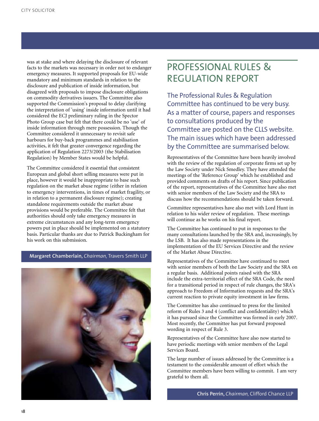was at stake and where delaying the disclosure of relevant facts to the markets was necessary in order not to endanger emergency measures. It supported proposals for EU-wide mandatory and minimum standards in relation to the disclosure and publication of inside information, but disagreed with proposals to impose disclosure obligations on commodity derivatives issuers. The Committee also supported the Commission's proposal to delay clarifying the interpretation of 'using' inside information until it had considered the ECJ preliminary ruling in the Spector Photo Group case but felt that there could be no 'use' of inside information through mere possession. Though the Committee considered it unnecessary to revisit safe harbours for buy-back programmes and stabilisation activities, it felt that greater convergence regarding the application of Regulation 2273/2003 (the Stabilisation Regulation) by Member States would be helpful.

The Committee considered it essential that consistent European and global short selling measures were put in place, however it would be inappropriate to base such regulation on the market abuse regime (either in relation to emergency interventions, in times of market fragility, or in relation to a permanent disclosure regime); creating standalone requirements outside the market abuse provisions would be preferable. The Committee felt that authorities should only take emergency measures in extreme circumstances and any long-term emergency powers put in place should be implemented on a statutory basis. Particular thanks are due to Patrick Buckingham for his work on this submission.

### **Margaret Chamberlain,** *Chairman,* Travers Smith LLP



# PROFESSIONAL RULES & REGULATION REPORT

The Professional Rules & Regulation Committee has continued to be very busy. As a matter of course, papers and responses to consultations produced by the Committee are posted on the CLLS website. The main issues which have been addressed by the Committee are summarised below.

Representatives of the Committee have been heavily involved with the review of the regulation of corporate firms set up by the Law Society under Nick Smedley. They have attended the meetings of the 'Reference Group' which he established and provided comments on drafts of his report. Since publication of the report, representatives of the Committee have also met with senior members of the Law Society and the SRA to discuss how the recommendations should be taken forward.

Committee representatives have also met with Lord Hunt in relation to his wider review of regulation. These meetings will continue as he works on his final report.

The Committee has continued to put in responses to the many consultations launched by the SRA and, increasingly, by the LSB. It has also made representations in the implementation of the EU Services Directive and the review of the Market Abuse Directive.

Representatives of the Committee have continued to meet with senior members of both the Law Society and the SRA on a regular basis. Additional points raised with the SRA include the extra-territorial effect of the SRA Code, the need for a transitional period in respect of rule changes, the SRA's approach to Freedom of Information requests and the SRA's current reaction to private equity investment in law firms.

The Committee has also continued to press for the limited reform of Rules 3 and 4 (conflict and confidentiality) which it has pursued since the Committee was formed in early 2007. Most recently, the Committee has put forward proposed wording in respect of Rule 3.

Representatives of the Committee have also now started to have periodic meetings with senior members of the Legal Services Board.

The large number of issues addressed by the Committee is a testament to the considerable amount of effort which the Committee members have been willing to commit. I am very grateful to them all.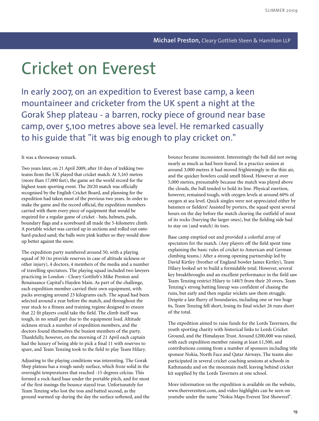# Cricket on Everest

In early 2007, on an expedition to Everest base camp, a keen mountaineer and cricketer from the UK spent a night at the Gorak Shep plateau - a barren, rocky piece of ground near base camp, over 5,100 metres above sea level. He remarked casually to his guide that "it was big enough to play cricket on."

It was a throwaway remark.

Two years later, on 21 April 2009, after 10 days of trekking two teams from the UK played that cricket match. At 5,165 metres (more than 17,000 feet), the game set the world record for the highest team sporting event. The 20/20 match was officially recognised by the English Cricket Board, and planning for the expedition had taken most of the previous two years. In order to make the game and the record official, the expedition members carried with them every piece of equipment that would be required for a regular game of cricket - bats, helmets, pads, boundary flags and a scoreboard all made the 5-kilometre climb. A portable wicket was carried up in sections and rolled out onto hard-packed sand; the balls were pink leather so they would show up better against the snow.

The expedition party numbered around 50, with a playing squad of 30 (to provide reserves in case of altitude sickness or other injury), 4 doctors, 4 members of the media and a number of travelling spectators. The playing squad included two lawyers practicing in London - Cleary Gottlieb's Mike Preston and Renaissance Capital's Hayden Main. As part of the challenge, each expedition member carried their own equipment, with packs averaging around 23 kilograms each. The squad had been selected around a year before the match, and throughout the year stuck to a fitness and training regime designed to ensure that 22 fit players could take the field. The climb itself was tough, in no small part due to the equipment load. Altitude sickness struck a number of expedition members, and the doctors found themselves the busiest members of the party. Thankfully, however, on the morning of 21 April each captain had the luxury of being able to pick a final 11 with reserves to spare, and Team Tenzing took to the field to play Team Hilary.

Adjusting to the playing conditions was interesting. The Gorak Shep plateau has a rough sandy surface, which froze solid in the overnight temperatures that reached -15 degrees celcius. This formed a rock-hard base under the portable pitch, and for most of the first innings the bounce stayed true. Unfortunately for Team Tenzing who lost the toss and batted second, as the ground warmed up during the day the surface softened, and the bounce became inconsistent. Interestingly the ball did not swing nearly as much as had been feared. In a practice session at around 3,000 metres it had moved frighteningly in the thin air, and the quicker bowlers could smell blood. However at over 5,000 metres, presumably because the match was played above the clouds, the ball tended to hold its line. Physical exertion, however, remained tough, with oxygen levels at around 60% of oxygen at sea level. Quick singles were not appreciated either by batsmen or fielders! Assisted by porters, the squad spent several hours on the day before the match clearing the outfield of most of its rocks (burying the larger ones), but the fielding side had to stay on (and watch) its toes.

Base camp emptied out and provided a colorful array of spectators for the match. (Any players off the field spent time explaining the basic rules of cricket to American and German climbing teams.) After a strong opening partnership led by David Kirtley (brother of England bowler James Kirtley), Team Hilary looked set to build a formidable total. However, several key breakthroughs and an excellent performance in the field saw Team Tenzing restrict Hilary to 148/5 from their 20 overs. Team Tenzing's strong batting lineup was confident of chasing the runs, but early and then regular wickets saw them struggle. Despite a late flurry of boundaries, including one or two huge 6s, Team Tenzing fell short, losing its final wicket 26 runs short of the total.

The expedition aimed to raise funds for the Lords Taverners, the youth sporting charity with historical links to Lords Cricket Ground, and the Himalayan Trust. Around £200,000 was raised, with each expedition member raising at least £1,500, and contributions coming from a number of sponsors including title sponsor Nokia, North Face and Qatar Airways. The teams also participated in several cricket coaching sessions at schools in Kathmandu and on the mountain itself, leaving behind cricket kit supplied by the Lords Taverners at one school.

More information on the expedition is available on the website, www.theeveresttest.com, and video highlights can be seen on youtube under the name "Nokia Maps Everest Test Showreel".